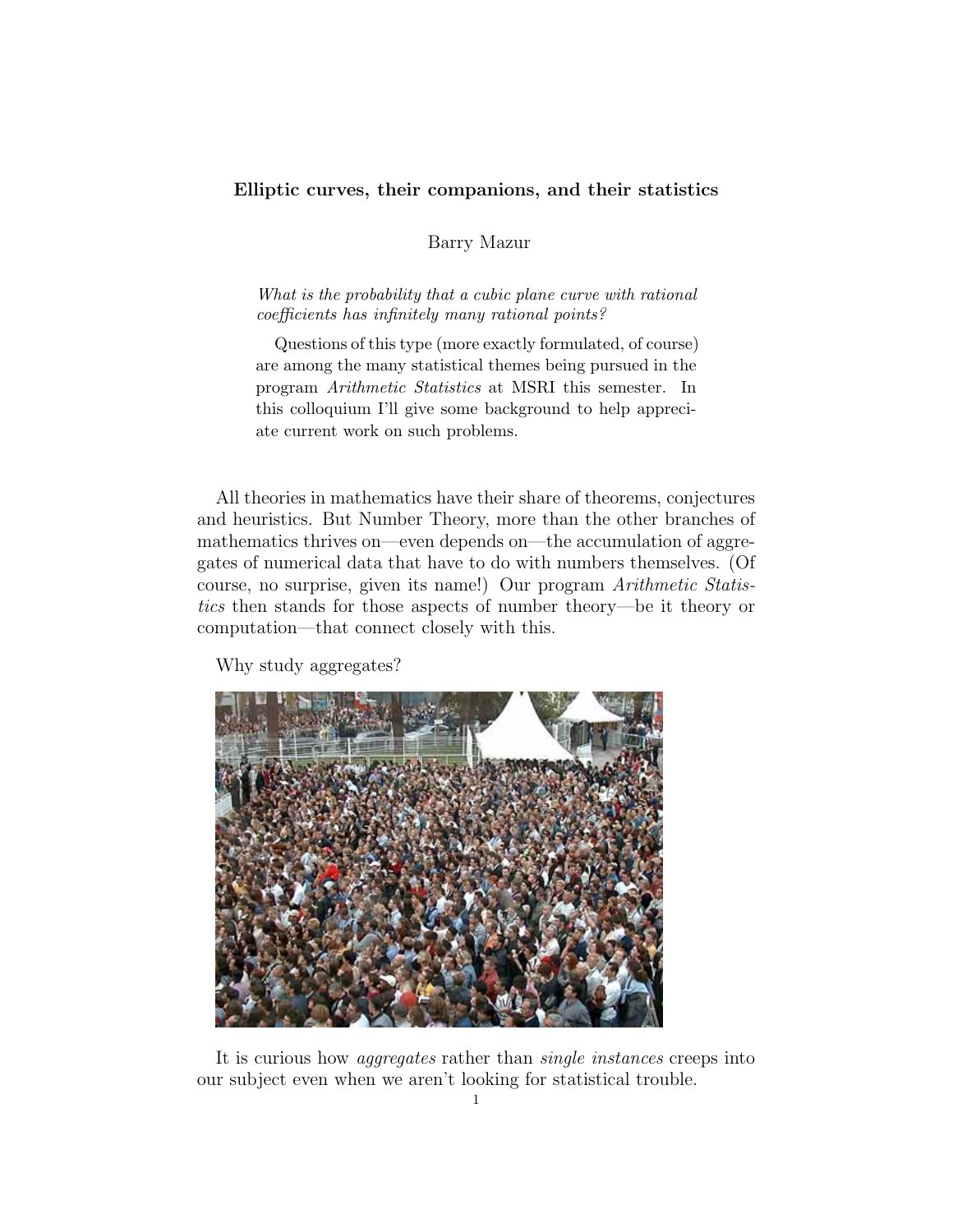# Elliptic curves, their companions, and their statistics

Barry Mazur

What is the probability that a cubic plane curve with rational coefficients has infinitely many rational points?

Questions of this type (more exactly formulated, of course) are among the many statistical themes being pursued in the program Arithmetic Statistics at MSRI this semester. In this colloquium I'll give some background to help appreciate current work on such problems.

All theories in mathematics have their share of theorems, conjectures and heuristics. But Number Theory, more than the other branches of mathematics thrives on—even depends on—the accumulation of aggregates of numerical data that have to do with numbers themselves. (Of course, no surprise, given its name!) Our program Arithmetic Statistics then stands for those aspects of number theory—be it theory or computation—that connect closely with this.

Why study aggregates?



It is curious how *aggregates* rather than *single instances* creeps into our subject even when we aren't looking for statistical trouble.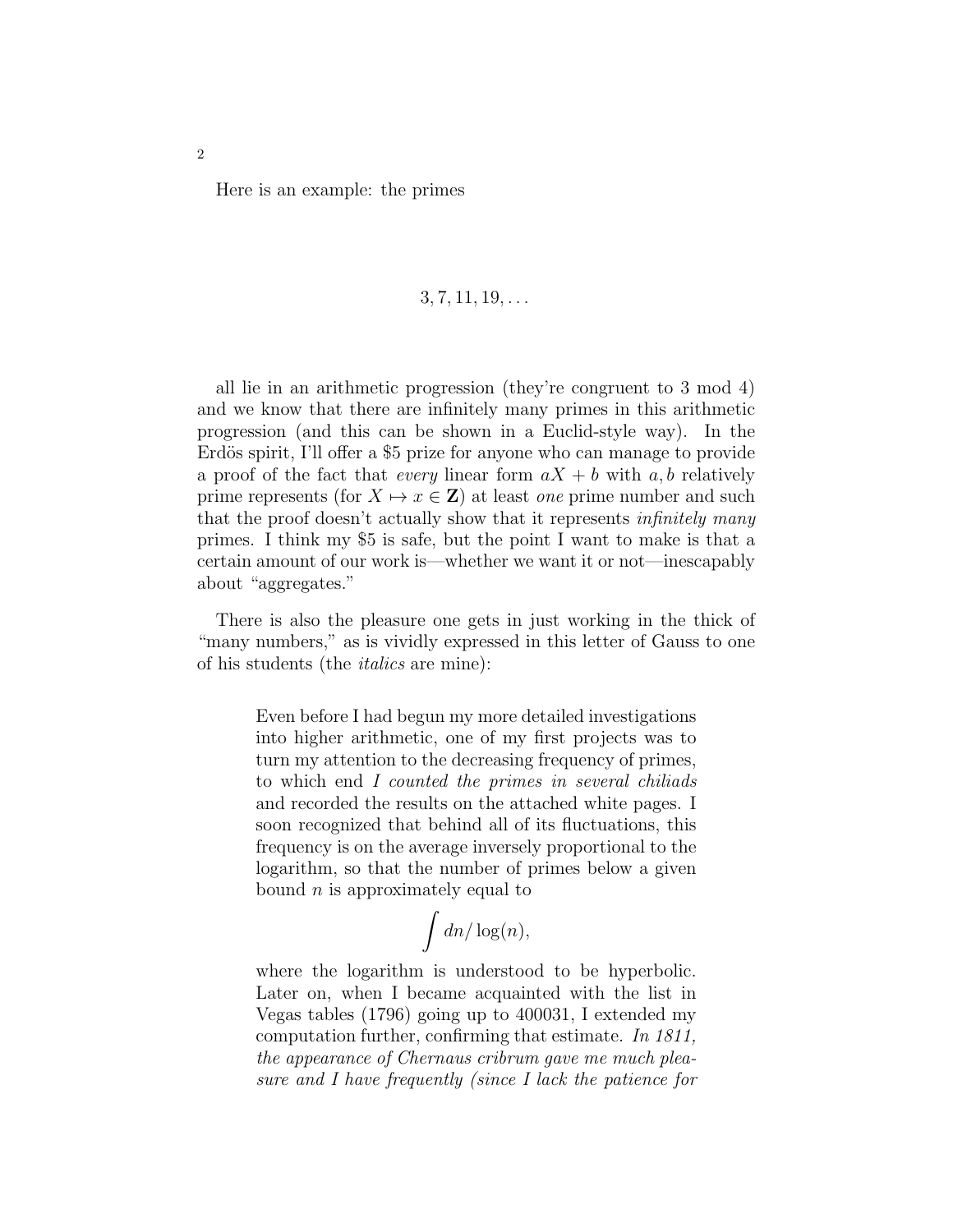Here is an example: the primes

## $3, 7, 11, 19, \ldots$

all lie in an arithmetic progression (they're congruent to 3 mod 4) and we know that there are infinitely many primes in this arithmetic progression (and this can be shown in a Euclid-style way). In the Erdös spirit, I'll offer a \$5 prize for anyone who can manage to provide a proof of the fact that *every* linear form  $aX + b$  with a, b relatively prime represents (for  $X \mapsto x \in \mathbb{Z}$ ) at least *one* prime number and such that the proof doesn't actually show that it represents infinitely many primes. I think my \$5 is safe, but the point I want to make is that a certain amount of our work is—whether we want it or not—inescapably about "aggregates."

There is also the pleasure one gets in just working in the thick of "many numbers," as is vividly expressed in this letter of Gauss to one of his students (the italics are mine):

> Even before I had begun my more detailed investigations into higher arithmetic, one of my first projects was to turn my attention to the decreasing frequency of primes, to which end I counted the primes in several chiliads and recorded the results on the attached white pages. I soon recognized that behind all of its fluctuations, this frequency is on the average inversely proportional to the logarithm, so that the number of primes below a given bound  $n$  is approximately equal to

$$
\int dn/\log(n),
$$

where the logarithm is understood to be hyperbolic. Later on, when I became acquainted with the list in Vegas tables (1796) going up to 400031, I extended my computation further, confirming that estimate. In 1811, the appearance of Chernaus cribrum gave me much pleasure and I have frequently (since I lack the patience for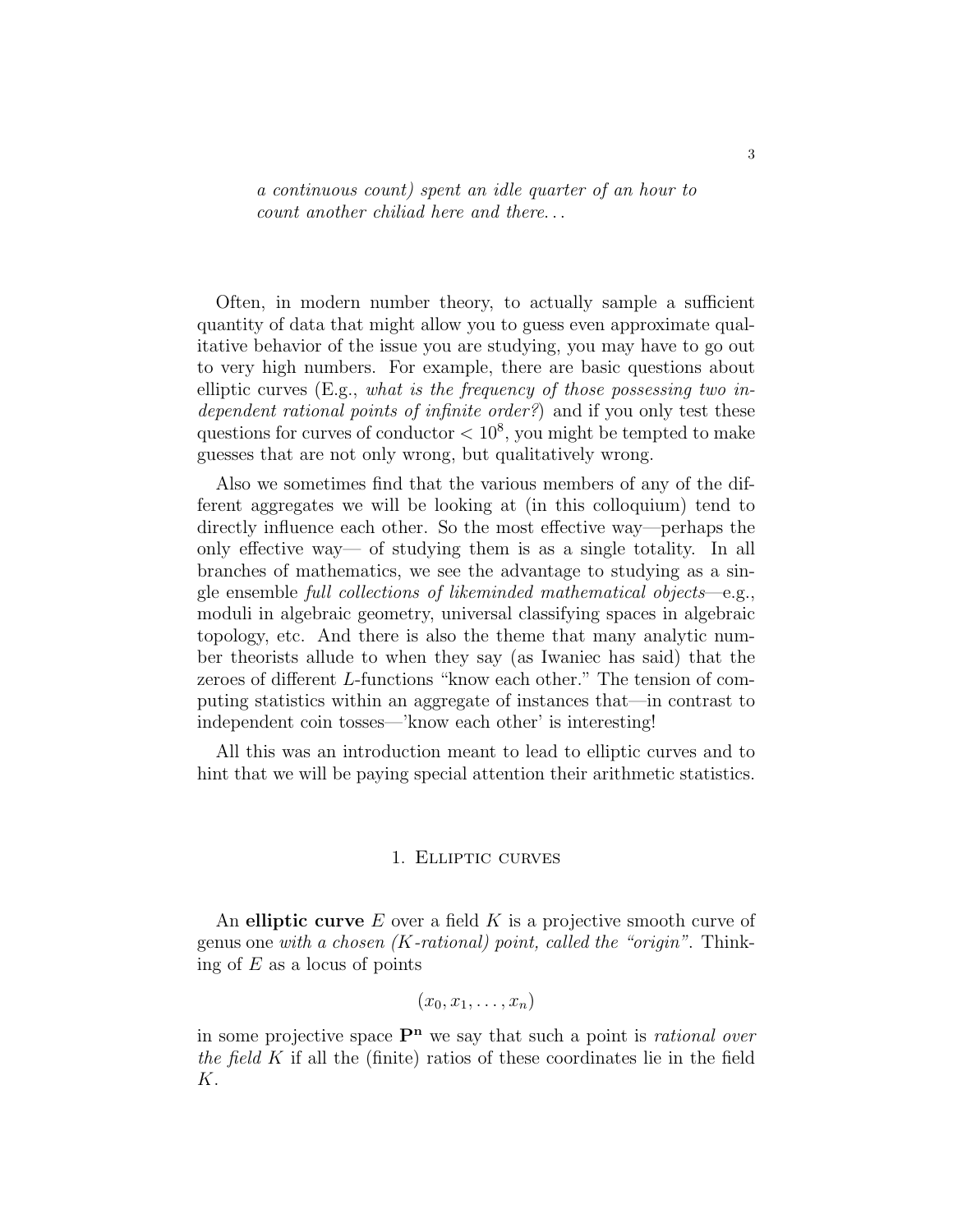a continuous count) spent an idle quarter of an hour to count another chiliad here and there. . .

Often, in modern number theory, to actually sample a sufficient quantity of data that might allow you to guess even approximate qualitative behavior of the issue you are studying, you may have to go out to very high numbers. For example, there are basic questions about elliptic curves  $(E.g., what is the frequency of those possessing two in$ dependent rational points of infinite order?) and if you only test these questions for curves of conductor  $< 10<sup>8</sup>$ , you might be tempted to make guesses that are not only wrong, but qualitatively wrong.

Also we sometimes find that the various members of any of the different aggregates we will be looking at (in this colloquium) tend to directly influence each other. So the most effective way—perhaps the only effective way— of studying them is as a single totality. In all branches of mathematics, we see the advantage to studying as a single ensemble full collections of likeminded mathematical objects—e.g., moduli in algebraic geometry, universal classifying spaces in algebraic topology, etc. And there is also the theme that many analytic number theorists allude to when they say (as Iwaniec has said) that the zeroes of different L-functions "know each other." The tension of computing statistics within an aggregate of instances that—in contrast to independent coin tosses—'know each other' is interesting!

All this was an introduction meant to lead to elliptic curves and to hint that we will be paying special attention their arithmetic statistics.

### 1. Elliptic curves

An elliptic curve  $E$  over a field  $K$  is a projective smooth curve of genus one with a chosen  $(K$ -rational) point, called the "origin". Thinking of  $E$  as a locus of points

$$
(x_0,x_1,\ldots,x_n)
$$

in some projective space  $\mathbf{P}^n$  we say that such a point is *rational over* the field  $K$  if all the (finite) ratios of these coordinates lie in the field K.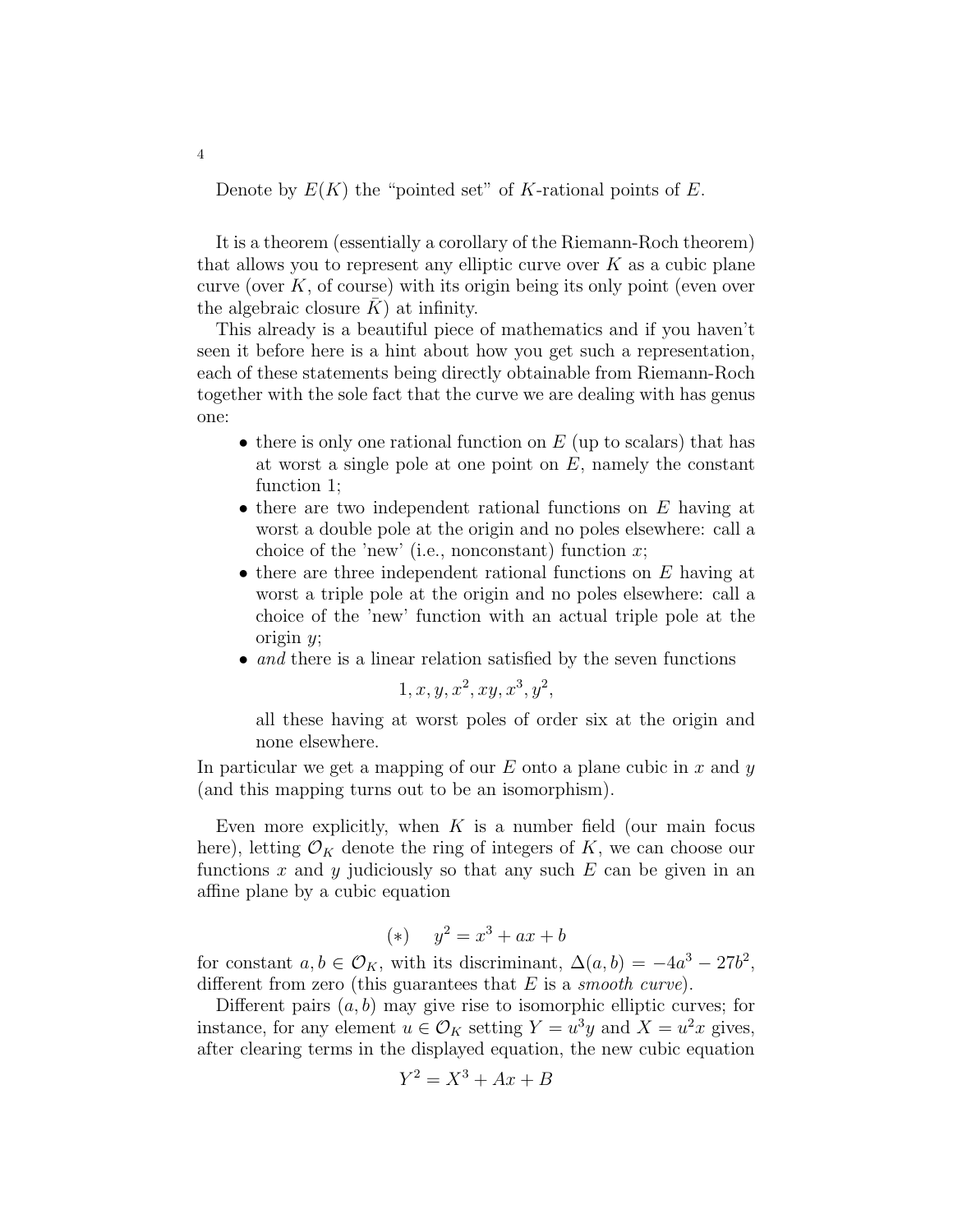Denote by  $E(K)$  the "pointed set" of K-rational points of E.

It is a theorem (essentially a corollary of the Riemann-Roch theorem) that allows you to represent any elliptic curve over  $K$  as a cubic plane curve (over  $K$ , of course) with its origin being its only point (even over the algebraic closure  $\bar{K}$  at infinity.

This already is a beautiful piece of mathematics and if you haven't seen it before here is a hint about how you get such a representation, each of these statements being directly obtainable from Riemann-Roch together with the sole fact that the curve we are dealing with has genus one:

- there is only one rational function on  $E$  (up to scalars) that has at worst a single pole at one point on  $E$ , namely the constant function 1;
- there are two independent rational functions on  $E$  having at worst a double pole at the origin and no poles elsewhere: call a choice of the 'new' (i.e., nonconstant) function  $x$ ;
- $\bullet$  there are three independent rational functions on  $E$  having at worst a triple pole at the origin and no poles elsewhere: call a choice of the 'new' function with an actual triple pole at the origin  $y$ ;
- and there is a linear relation satisfied by the seven functions

$$
1, x, y, x^2, xy, x^3, y^2,
$$

all these having at worst poles of order six at the origin and none elsewhere.

In particular we get a mapping of our  $E$  onto a plane cubic in  $x$  and  $y$ (and this mapping turns out to be an isomorphism).

Even more explicitly, when  $K$  is a number field (our main focus here), letting  $\mathcal{O}_K$  denote the ring of integers of K, we can choose our functions  $x$  and  $y$  judiciously so that any such  $E$  can be given in an affine plane by a cubic equation

$$
(*) \t y^2 = x^3 + ax + b
$$

for constant  $a, b \in \mathcal{O}_K$ , with its discriminant,  $\Delta(a, b) = -4a^3 - 27b^2$ , different from zero (this guarantees that  $E$  is a *smooth curve*).

Different pairs  $(a, b)$  may give rise to isomorphic elliptic curves; for instance, for any element  $u \in \mathcal{O}_K$  setting  $Y = u^3y$  and  $X = u^2x$  gives, after clearing terms in the displayed equation, the new cubic equation

$$
Y^2 = X^3 + Ax + B
$$

#### 4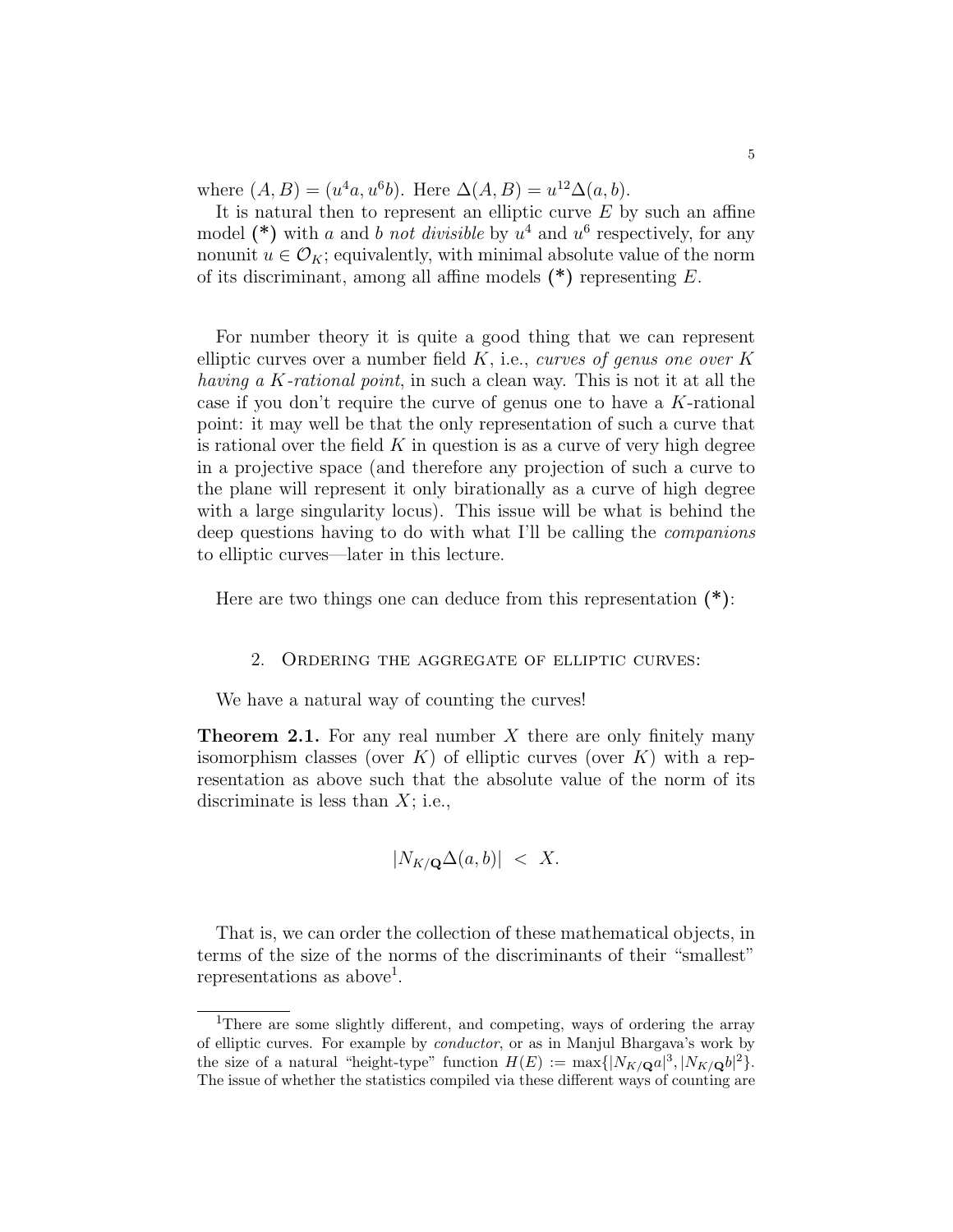where  $(A, B) = (u^4a, u^6b)$ . Here  $\Delta(A, B) = u^{12}\Delta(a, b)$ .

It is natural then to represent an elliptic curve  $E$  by such an affine model (\*) with a and b not divisible by  $u^4$  and  $u^6$  respectively, for any nonunit  $u \in \mathcal{O}_K$ ; equivalently, with minimal absolute value of the norm of its discriminant, among all affine models  $(*)$  representing  $E$ .

For number theory it is quite a good thing that we can represent elliptic curves over a number field  $K$ , i.e., curves of genus one over  $K$ having a K-rational point, in such a clean way. This is not it at all the case if you don't require the curve of genus one to have a K-rational point: it may well be that the only representation of such a curve that is rational over the field  $K$  in question is as a curve of very high degree in a projective space (and therefore any projection of such a curve to the plane will represent it only birationally as a curve of high degree with a large singularity locus). This issue will be what is behind the deep questions having to do with what I'll be calling the companions to elliptic curves—later in this lecture.

Here are two things one can deduce from this representation (\*):

## 2. Ordering the aggregate of elliptic curves:

We have a natural way of counting the curves!

**Theorem 2.1.** For any real number  $X$  there are only finitely many isomorphism classes (over K) of elliptic curves (over K) with a representation as above such that the absolute value of the norm of its discriminate is less than  $X$ ; i.e.,

$$
|N_{K/\mathbf{Q}}\Delta(a,b)| < X.
$$

That is, we can order the collection of these mathematical objects, in terms of the size of the norms of the discriminants of their "smallest" representations as above<sup>1</sup>.

<sup>&</sup>lt;sup>1</sup>There are some slightly different, and competing, ways of ordering the array of elliptic curves. For example by conductor, or as in Manjul Bhargava's work by the size of a natural "height-type" function  $H(E) := \max\{|N_{K/\mathbf{Q}}a|^3, |N_{K/\mathbf{Q}}b|^2\}.$ The issue of whether the statistics compiled via these different ways of counting are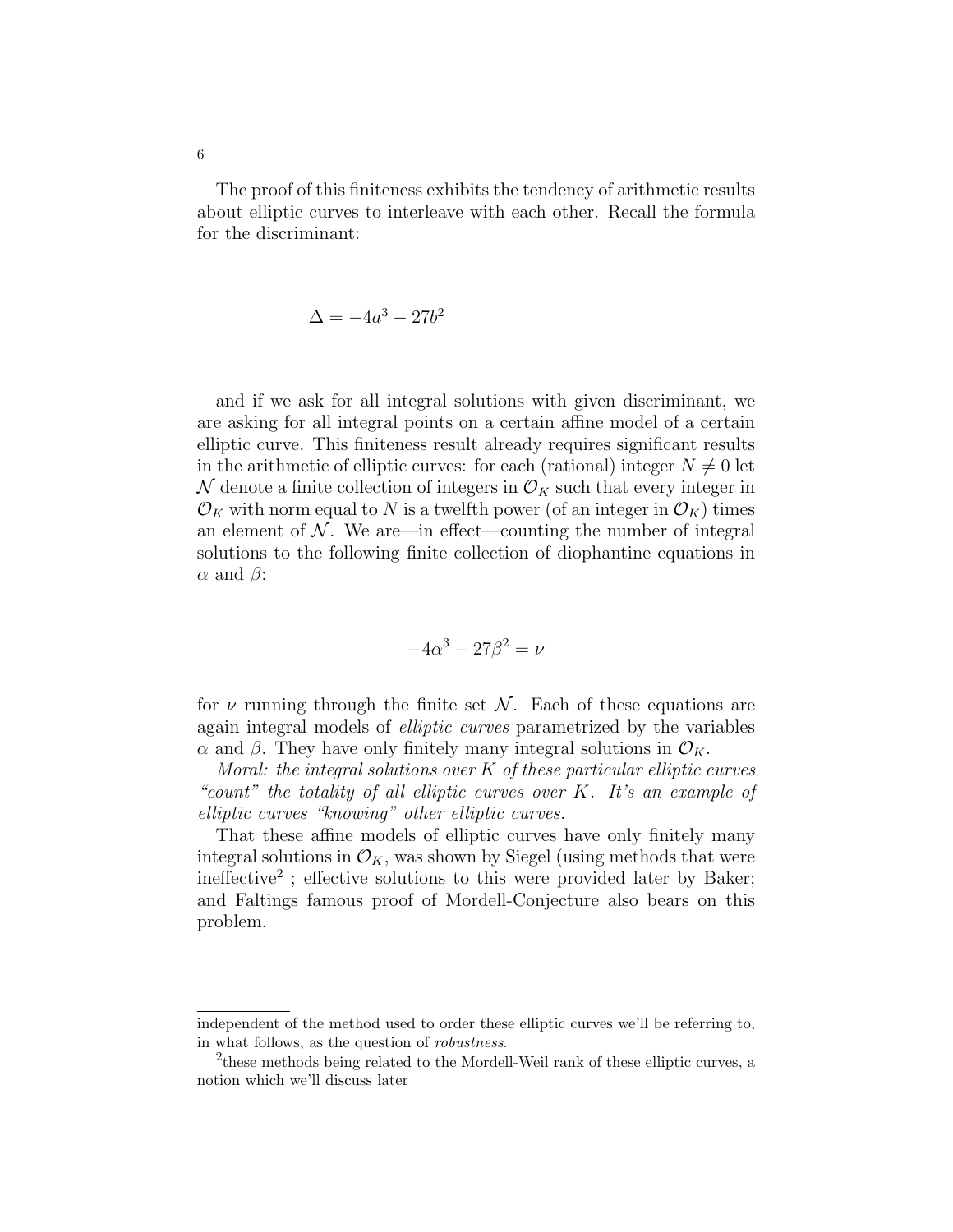The proof of this finiteness exhibits the tendency of arithmetic results about elliptic curves to interleave with each other. Recall the formula for the discriminant:

$$
\Delta = -4a^3 - 27b^2
$$

and if we ask for all integral solutions with given discriminant, we are asking for all integral points on a certain affine model of a certain elliptic curve. This finiteness result already requires significant results in the arithmetic of elliptic curves: for each (rational) integer  $N \neq 0$  let N denote a finite collection of integers in  $\mathcal{O}_K$  such that every integer in  $\mathcal{O}_K$  with norm equal to N is a twelfth power (of an integer in  $\mathcal{O}_K$ ) times an element of  $N$ . We are—in effect—counting the number of integral solutions to the following finite collection of diophantine equations in  $\alpha$  and  $\beta$ :

$$
-4\alpha^3 - 27\beta^2 = \nu
$$

for  $\nu$  running through the finite set N. Each of these equations are again integral models of elliptic curves parametrized by the variables  $\alpha$  and  $\beta$ . They have only finitely many integral solutions in  $\mathcal{O}_K$ .

Moral: the integral solutions over  $K$  of these particular elliptic curves "count" the totality of all elliptic curves over K. It's an example of elliptic curves "knowing" other elliptic curves.

That these affine models of elliptic curves have only finitely many integral solutions in  $\mathcal{O}_K$ , was shown by Siegel (using methods that were ineffective<sup>2</sup>; effective solutions to this were provided later by Baker; and Faltings famous proof of Mordell-Conjecture also bears on this problem.

independent of the method used to order these elliptic curves we'll be referring to, in what follows, as the question of robustness.

<sup>&</sup>lt;sup>2</sup>these methods being related to the Mordell-Weil rank of these elliptic curves, a notion which we'll discuss later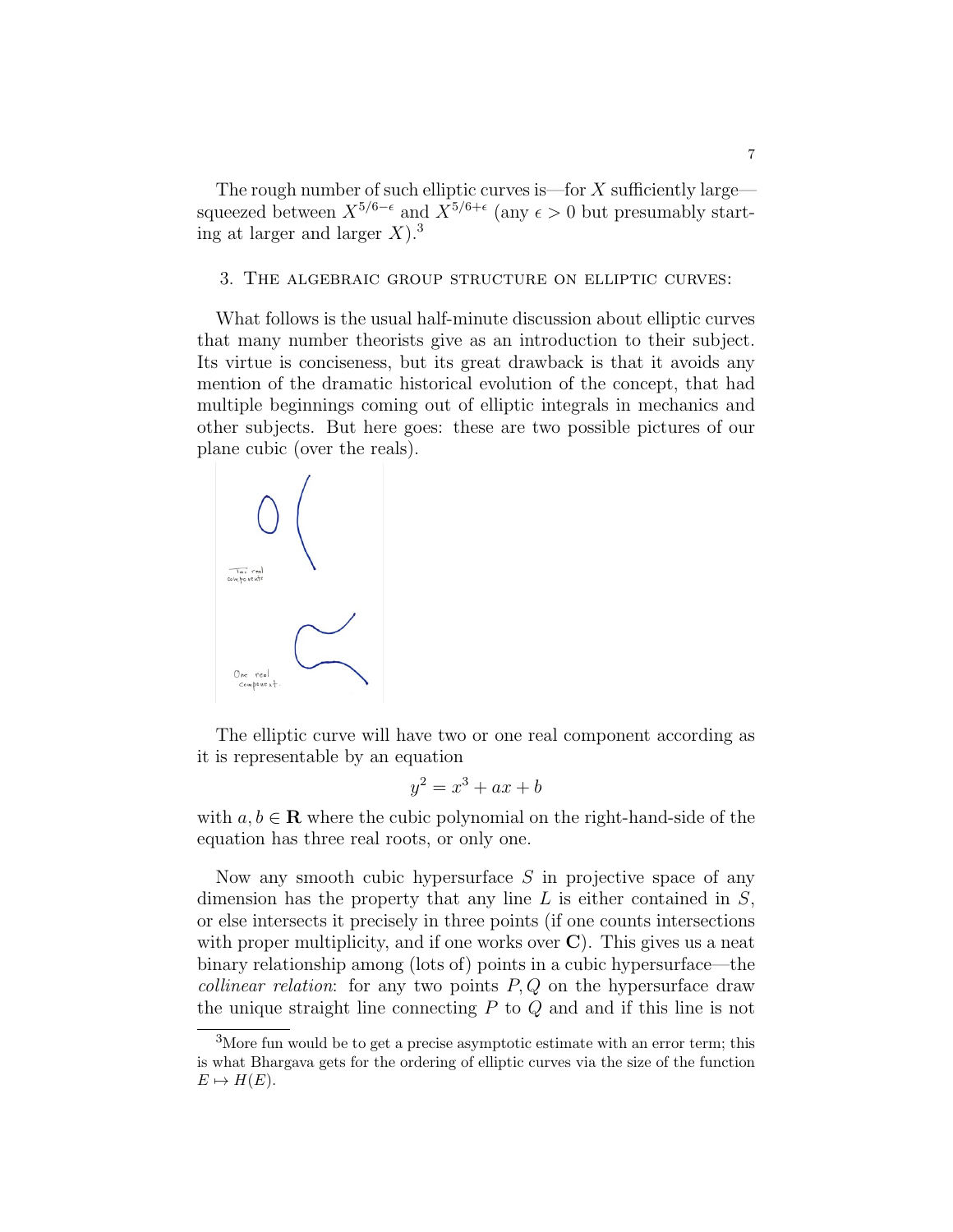The rough number of such elliptic curves is—for  $X$  sufficiently large squeezed between  $X^{5/6-\epsilon}$  and  $X^{5/6+\epsilon}$  (any  $\epsilon > 0$  but presumably starting at larger and larger  $X$ ).<sup>3</sup>

#### 3. The algebraic group structure on elliptic curves:

What follows is the usual half-minute discussion about elliptic curves that many number theorists give as an introduction to their subject. Its virtue is conciseness, but its great drawback is that it avoids any mention of the dramatic historical evolution of the concept, that had multiple beginnings coming out of elliptic integrals in mechanics and other subjects. But here goes: these are two possible pictures of our plane cubic (over the reals).



The elliptic curve will have two or one real component according as it is representable by an equation

$$
y^2 = x^3 + ax + b
$$

with  $a, b \in \mathbf{R}$  where the cubic polynomial on the right-hand-side of the equation has three real roots, or only one.

Now any smooth cubic hypersurface  $S$  in projective space of any dimension has the property that any line  $L$  is either contained in  $S$ , or else intersects it precisely in three points (if one counts intersections with proper multiplicity, and if one works over  $\bf{C}$ ). This gives us a neat binary relationship among (lots of) points in a cubic hypersurface—the *collinear relation*: for any two points  $P, Q$  on the hypersurface draw the unique straight line connecting  $P$  to  $Q$  and and if this line is not

<sup>3</sup>More fun would be to get a precise asymptotic estimate with an error term; this is what Bhargava gets for the ordering of elliptic curves via the size of the function  $E \mapsto H(E).$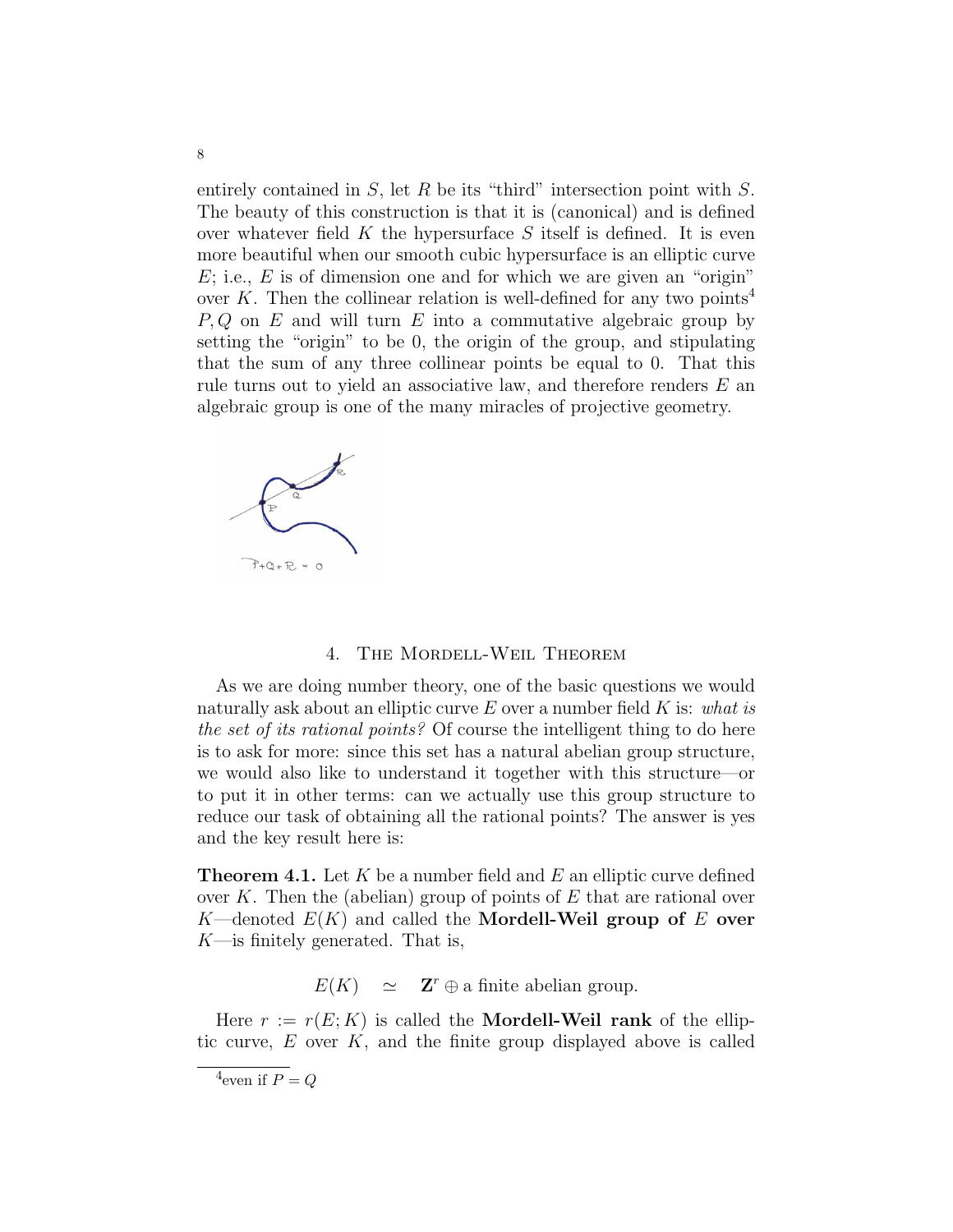entirely contained in  $S$ , let  $R$  be its "third" intersection point with  $S$ . The beauty of this construction is that it is (canonical) and is defined over whatever field K the hypersurface S itself is defined. It is even more beautiful when our smooth cubic hypersurface is an elliptic curve  $E$ ; i.e.,  $E$  is of dimension one and for which we are given an "origin" over K. Then the collinear relation is well-defined for any two points<sup>4</sup>  $P, Q$  on E and will turn E into a commutative algebraic group by setting the "origin" to be 0, the origin of the group, and stipulating that the sum of any three collinear points be equal to 0. That this rule turns out to yield an associative law, and therefore renders E an algebraic group is one of the many miracles of projective geometry.



### 4. The Mordell-Weil Theorem

As we are doing number theory, one of the basic questions we would naturally ask about an elliptic curve  $E$  over a number field  $K$  is: what is the set of its rational points? Of course the intelligent thing to do here is to ask for more: since this set has a natural abelian group structure, we would also like to understand it together with this structure—or to put it in other terms: can we actually use this group structure to reduce our task of obtaining all the rational points? The answer is yes and the key result here is:

**Theorem 4.1.** Let K be a number field and E an elliptic curve defined over K. Then the (abelian) group of points of  $E$  that are rational over  $K$ —denoted  $E(K)$  and called the **Mordell-Weil group of** E over  $K$ —is finitely generated. That is,

> $E(K) \simeq$  $\mathbf{Z}^r \oplus \mathbf{a}$  finite abelian group.

Here  $r := r(E; K)$  is called the **Mordell-Weil rank** of the elliptic curve,  $E$  over  $K$ , and the finite group displayed above is called

<sup>&</sup>lt;sup>4</sup>even if  $P = Q$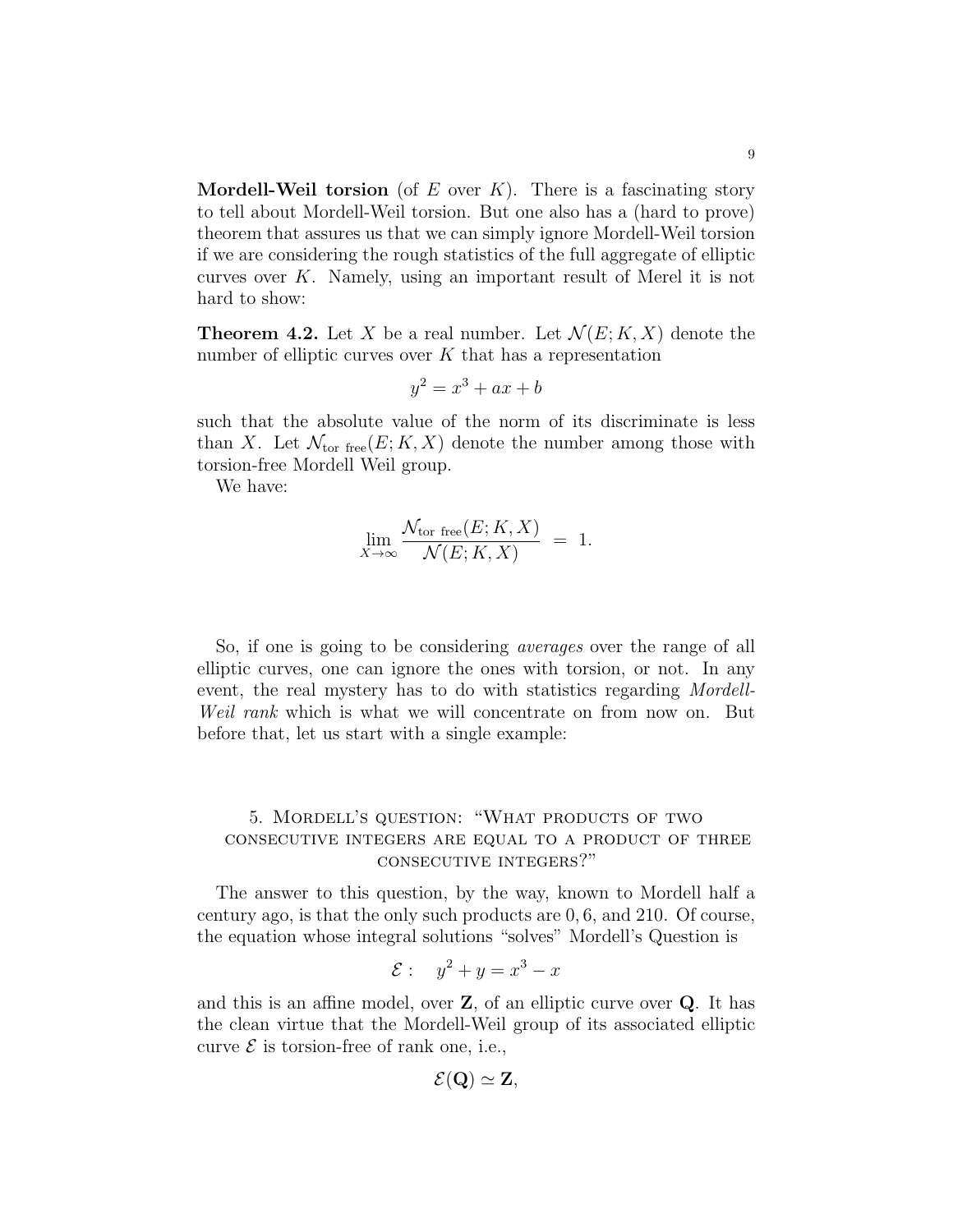**Mordell-Weil torsion** (of E over K). There is a fascinating story to tell about Mordell-Weil torsion. But one also has a (hard to prove) theorem that assures us that we can simply ignore Mordell-Weil torsion if we are considering the rough statistics of the full aggregate of elliptic curves over K. Namely, using an important result of Merel it is not hard to show:

**Theorem 4.2.** Let X be a real number. Let  $\mathcal{N}(E; K, X)$  denote the number of elliptic curves over  $K$  that has a representation

$$
y^2 = x^3 + ax + b
$$

such that the absolute value of the norm of its discriminate is less than X. Let  $\mathcal{N}_{\text{tor free}}(E; K, X)$  denote the number among those with torsion-free Mordell Weil group.

We have:

$$
\lim_{X \to \infty} \frac{\mathcal{N}_{\text{tor free}}(E; K, X)}{\mathcal{N}(E; K, X)} = 1.
$$

So, if one is going to be considering averages over the range of all elliptic curves, one can ignore the ones with torsion, or not. In any event, the real mystery has to do with statistics regarding Mordell-Weil rank which is what we will concentrate on from now on. But before that, let us start with a single example:

# 5. Mordell's question: "What products of two consecutive integers are equal to a product of three consecutive integers?"

The answer to this question, by the way, known to Mordell half a century ago, is that the only such products are 0, 6, and 210. Of course, the equation whose integral solutions "solves" Mordell's Question is

$$
\mathcal{E}: y^2 + y = x^3 - x
$$

and this is an affine model, over Z, of an elliptic curve over Q. It has the clean virtue that the Mordell-Weil group of its associated elliptic curve  $\mathcal E$  is torsion-free of rank one, i.e.,

$$
\mathcal{E}(\mathbf{Q})\simeq \mathbf{Z},
$$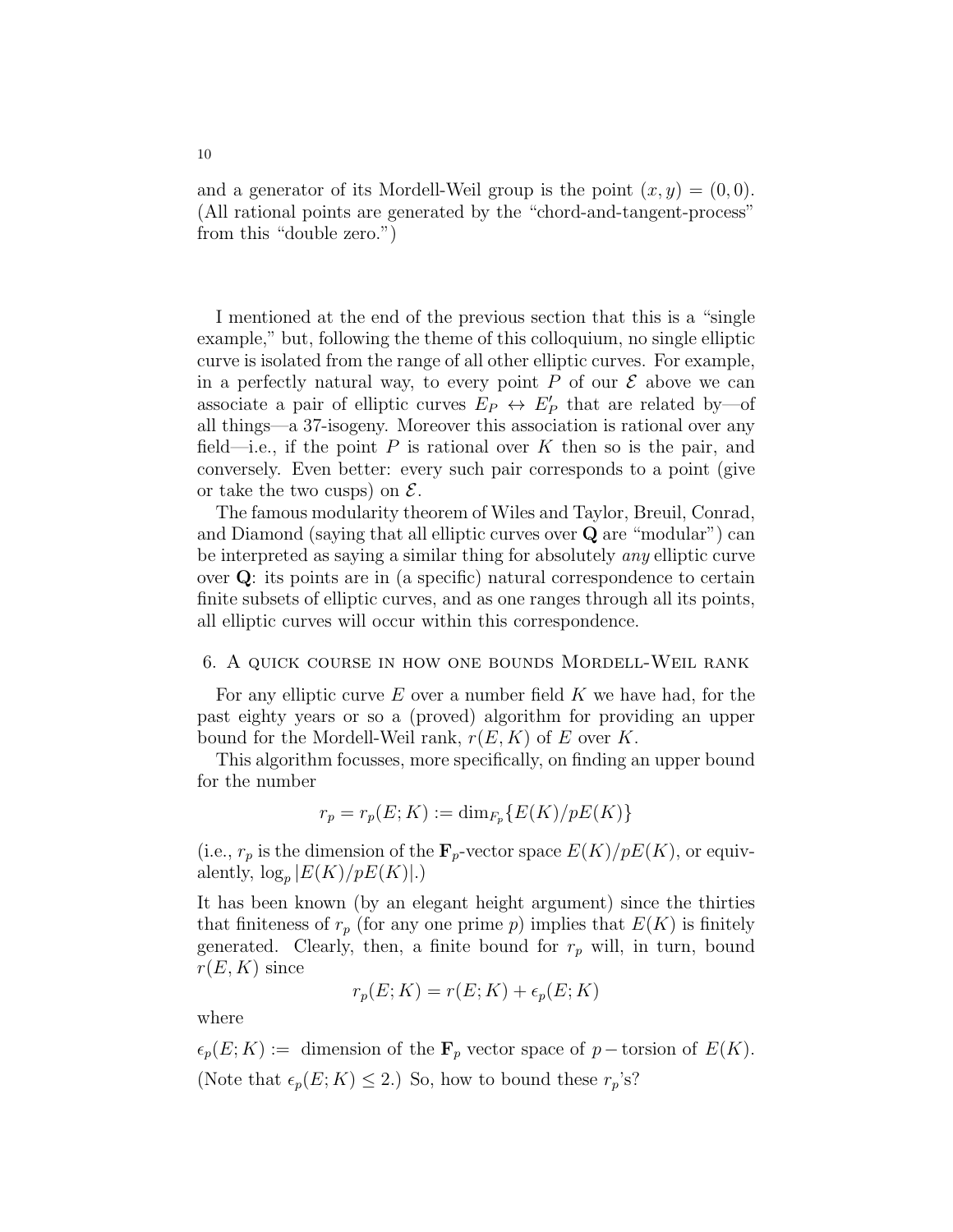and a generator of its Mordell-Weil group is the point  $(x, y) = (0, 0)$ . (All rational points are generated by the "chord-and-tangent-process" from this "double zero.")

I mentioned at the end of the previous section that this is a "single example," but, following the theme of this colloquium, no single elliptic curve is isolated from the range of all other elliptic curves. For example, in a perfectly natural way, to every point P of our  $\mathcal E$  above we can associate a pair of elliptic curves  $E_P \leftrightarrow E'_P$  that are related by-of all things—a 37-isogeny. Moreover this association is rational over any field—i.e., if the point P is rational over K then so is the pair, and conversely. Even better: every such pair corresponds to a point (give or take the two cusps) on  $\mathcal{E}.$ 

The famous modularity theorem of Wiles and Taylor, Breuil, Conrad, and Diamond (saying that all elliptic curves over Q are "modular") can be interpreted as saying a similar thing for absolutely any elliptic curve over Q: its points are in (a specific) natural correspondence to certain finite subsets of elliptic curves, and as one ranges through all its points, all elliptic curves will occur within this correspondence.

### 6. A quick course in how one bounds Mordell-Weil rank

For any elliptic curve  $E$  over a number field  $K$  we have had, for the past eighty years or so a (proved) algorithm for providing an upper bound for the Mordell-Weil rank,  $r(E, K)$  of E over K.

This algorithm focusses, more specifically, on finding an upper bound for the number

$$
r_p = r_p(E; K) := \dim_{F_p} \{ E(K) / pE(K) \}
$$

(i.e.,  $r_p$  is the dimension of the  $\mathbf{F}_p$ -vector space  $E(K)/pE(K)$ , or equivalently,  $\log_p |E(K)/pE(K)|$ .)

It has been known (by an elegant height argument) since the thirties that finiteness of  $r_p$  (for any one prime p) implies that  $E(K)$  is finitely generated. Clearly, then, a finite bound for  $r_p$  will, in turn, bound  $r(E, K)$  since

$$
r_p(E;K) = r(E;K) + \epsilon_p(E;K)
$$

where

 $\epsilon_p(E; K) :=$  dimension of the  $\mathbf{F}_p$  vector space of p – torsion of  $E(K)$ . (Note that  $\epsilon_p(E; K) \leq 2$ .) So, how to bound these  $r_p$ 's?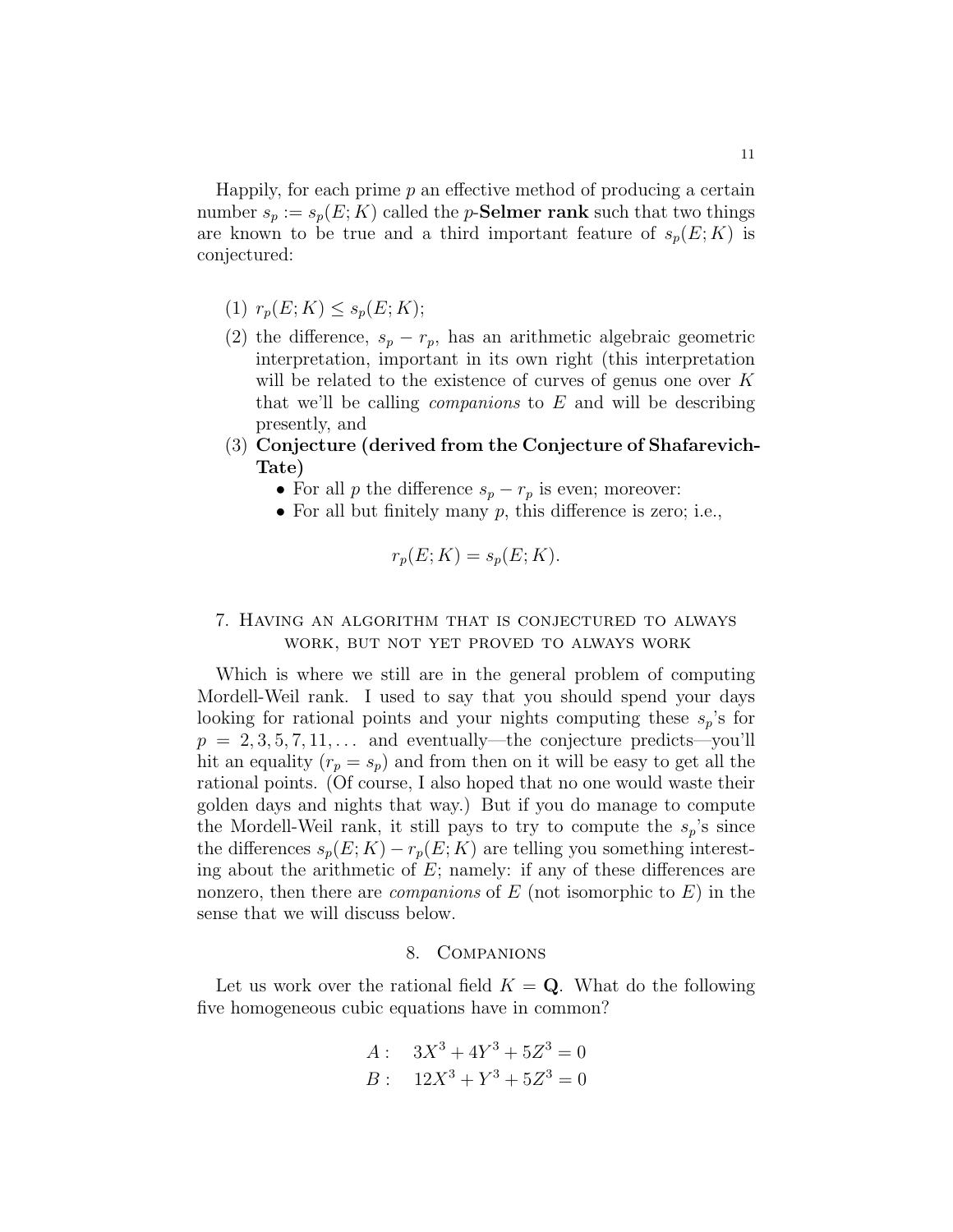Happily, for each prime  $p$  an effective method of producing a certain number  $s_p := s_p(E; K)$  called the p-**Selmer rank** such that two things are known to be true and a third important feature of  $s_p(E; K)$  is conjectured:

- (1)  $r_p(E; K) \leq s_p(E; K);$
- (2) the difference,  $s_p r_p$ , has an arithmetic algebraic geometric interpretation, important in its own right (this interpretation will be related to the existence of curves of genus one over K that we'll be calling *companions* to  $E$  and will be describing presently, and
- (3) Conjecture (derived from the Conjecture of Shafarevich-Tate)
	- For all p the difference  $s_p r_p$  is even; moreover:
	- For all but finitely many  $p$ , this difference is zero; i.e.,

$$
r_p(E;K) = s_p(E;K).
$$

# 7. Having an algorithm that is conjectured to always work, but not yet proved to always work

Which is where we still are in the general problem of computing Mordell-Weil rank. I used to say that you should spend your days looking for rational points and your nights computing these  $s_p$ 's for  $p = 2, 3, 5, 7, 11, \ldots$  and eventually—the conjecture predicts—you'll hit an equality  $(r_p = s_p)$  and from then on it will be easy to get all the rational points. (Of course, I also hoped that no one would waste their golden days and nights that way.) But if you do manage to compute the Mordell-Weil rank, it still pays to try to compute the  $s_p$ 's since the differences  $s_p(E; K) - r_p(E; K)$  are telling you something interesting about the arithmetic of  $E$ ; namely: if any of these differences are nonzero, then there are *companions* of  $E$  (not isomorphic to  $E$ ) in the sense that we will discuss below.

### 8. Companions

Let us work over the rational field  $K = Q$ . What do the following five homogeneous cubic equations have in common?

A: 
$$
3X^3 + 4Y^3 + 5Z^3 = 0
$$
  
B:  $12X^3 + Y^3 + 5Z^3 = 0$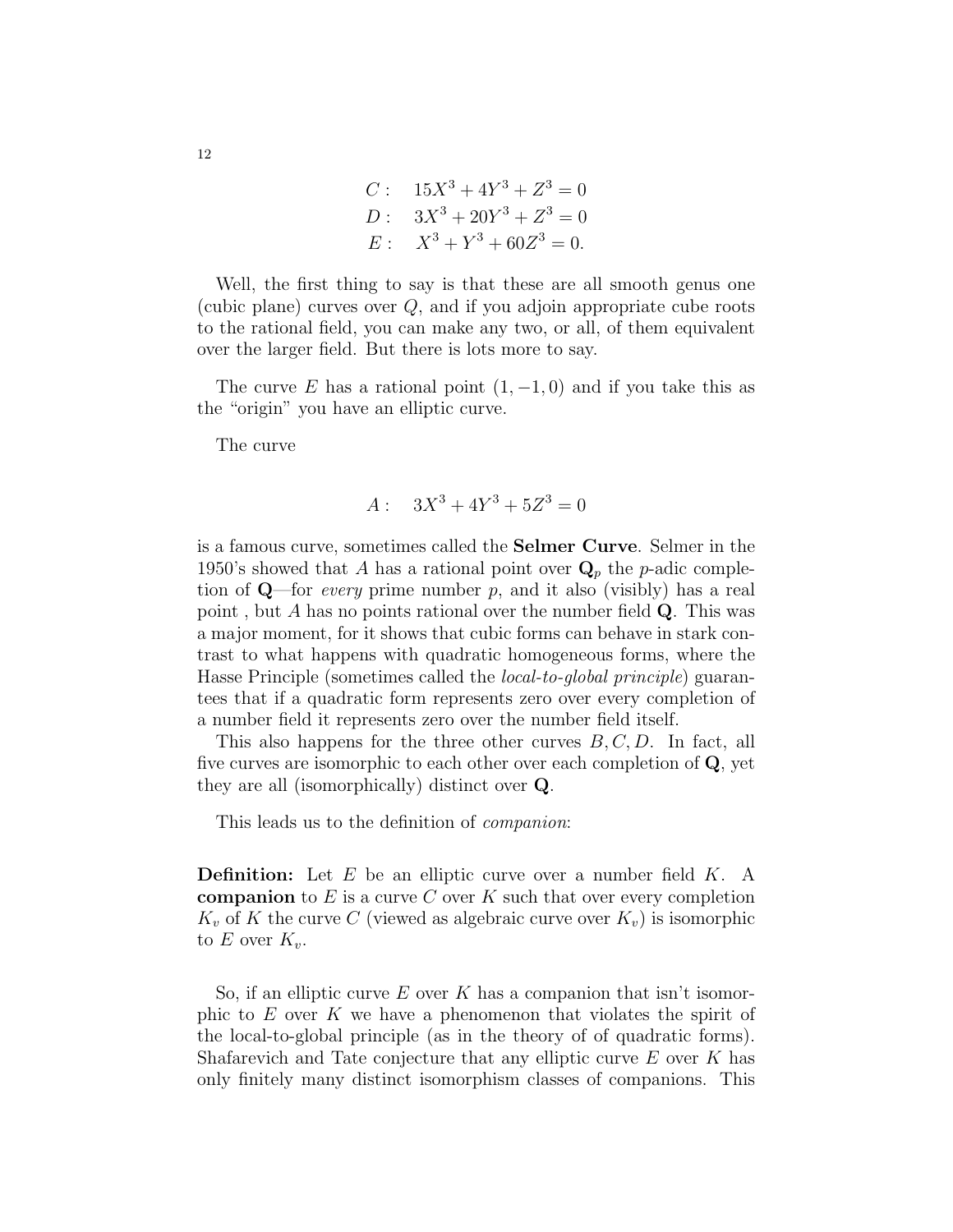$C: 15X^3 + 4Y^3 + Z^3 = 0$  $D: 3X^3 + 20Y^3 + Z^3 = 0$  $E: X^3 + Y^3 + 60Z^3 = 0.$ 

Well, the first thing to say is that these are all smooth genus one (cubic plane) curves over  $Q$ , and if you adjoin appropriate cube roots to the rational field, you can make any two, or all, of them equivalent over the larger field. But there is lots more to say.

The curve E has a rational point  $(1, -1, 0)$  and if you take this as the "origin" you have an elliptic curve.

The curve

$$
A: \quad 3X^3 + 4Y^3 + 5Z^3 = 0
$$

is a famous curve, sometimes called the Selmer Curve. Selmer in the 1950's showed that A has a rational point over  $\mathbf{Q}_p$  the p-adic completion of  $Q$ —for *every* prime number p, and it also (visibly) has a real point, but A has no points rational over the number field  $Q$ . This was a major moment, for it shows that cubic forms can behave in stark contrast to what happens with quadratic homogeneous forms, where the Hasse Principle (sometimes called the local-to-global principle) guarantees that if a quadratic form represents zero over every completion of a number field it represents zero over the number field itself.

This also happens for the three other curves  $B, C, D$ . In fact, all five curves are isomorphic to each other over each completion of Q, yet they are all (isomorphically) distinct over Q.

This leads us to the definition of companion:

**Definition:** Let  $E$  be an elliptic curve over a number field  $K$ . A companion to  $E$  is a curve  $C$  over  $K$  such that over every completion  $K_v$  of K the curve C (viewed as algebraic curve over  $K_v$ ) is isomorphic to E over  $K_v$ .

So, if an elliptic curve  $E$  over  $K$  has a companion that isn't isomorphic to  $E$  over  $K$  we have a phenomenon that violates the spirit of the local-to-global principle (as in the theory of of quadratic forms). Shafarevich and Tate conjecture that any elliptic curve E over K has only finitely many distinct isomorphism classes of companions. This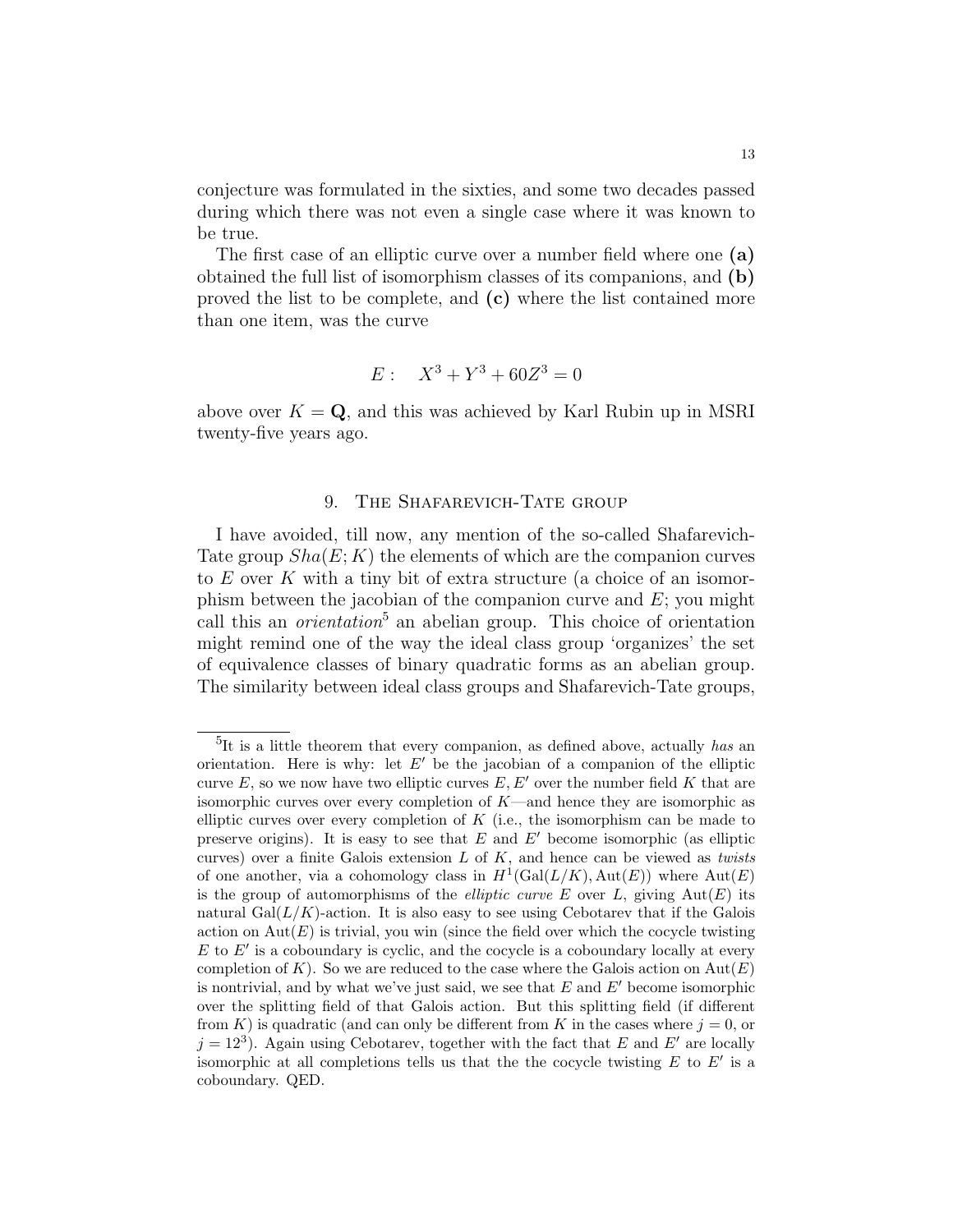conjecture was formulated in the sixties, and some two decades passed during which there was not even a single case where it was known to be true.

The first case of an elliptic curve over a number field where one (a) obtained the full list of isomorphism classes of its companions, and (b) proved the list to be complete, and  $(c)$  where the list contained more than one item, was the curve

$$
E: \quad X^3 + Y^3 + 60Z^3 = 0
$$

above over  $K = \mathbf{Q}$ , and this was achieved by Karl Rubin up in MSRI twenty-five years ago.

### 9. The Shafarevich-Tate group

I have avoided, till now, any mention of the so-called Shafarevich-Tate group  $Sha(E; K)$  the elements of which are the companion curves to  $E$  over  $K$  with a tiny bit of extra structure (a choice of an isomorphism between the jacobian of the companion curve and  $E$ ; you might call this an *orientation*<sup>5</sup> an abelian group. This choice of orientation might remind one of the way the ideal class group 'organizes' the set of equivalence classes of binary quadratic forms as an abelian group. The similarity between ideal class groups and Shafarevich-Tate groups,

 ${}^{5}$ It is a little theorem that every companion, as defined above, actually has an orientation. Here is why: let  $E'$  be the jacobian of a companion of the elliptic curve E, so we now have two elliptic curves  $E, E'$  over the number field K that are isomorphic curves over every completion of  $K$ —and hence they are isomorphic as elliptic curves over every completion of  $K$  (i.e., the isomorphism can be made to preserve origins). It is easy to see that  $E$  and  $E'$  become isomorphic (as elliptic curves) over a finite Galois extension  $L$  of  $K$ , and hence can be viewed as twists of one another, via a cohomology class in  $H^1(\text{Gal}(L/K), \text{Aut}(E))$  where  $\text{Aut}(E)$ is the group of automorphisms of the *elliptic curve E* over L, giving  $Aut(E)$  its natural  $Gal(L/K)$ -action. It is also easy to see using Cebotarev that if the Galois action on  $Aut(E)$  is trivial, you win (since the field over which the cocycle twisting  $E$  to  $E'$  is a coboundary is cyclic, and the cocycle is a coboundary locally at every completion of K). So we are reduced to the case where the Galois action on  $Aut(E)$ is nontrivial, and by what we've just said, we see that  $E$  and  $E'$  become isomorphic over the splitting field of that Galois action. But this splitting field (if different from K) is quadratic (and can only be different from K in the cases where  $j = 0$ , or  $j = 12<sup>3</sup>$ ). Again using Cebotarev, together with the fact that E and E' are locally isomorphic at all completions tells us that the the cocycle twisting  $E$  to  $E'$  is a coboundary. QED.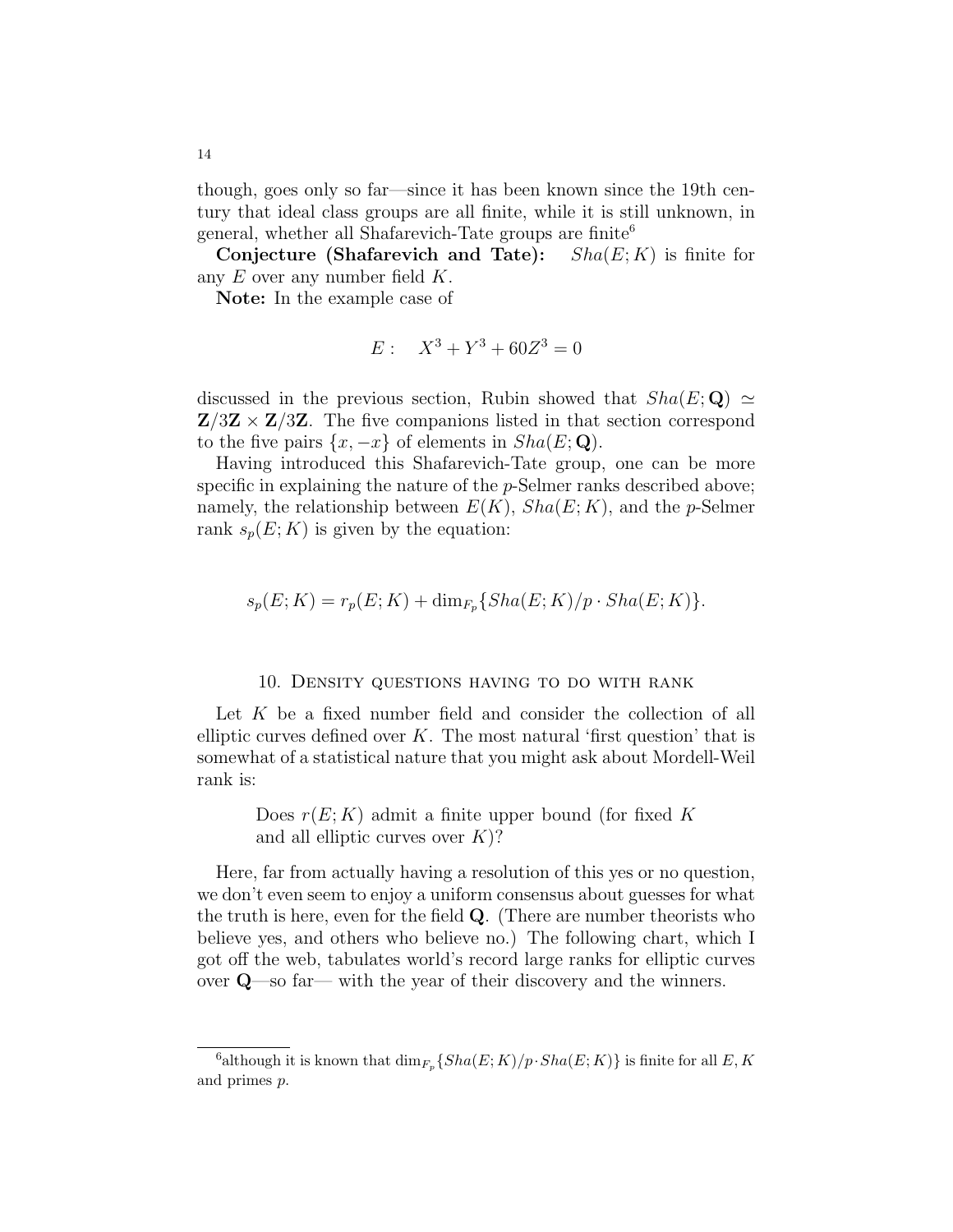though, goes only so far—since it has been known since the 19th century that ideal class groups are all finite, while it is still unknown, in general, whether all Shafarevich-Tate groups are finite<sup>6</sup>

Conjecture (Shafarevich and Tate):  $Sha(E; K)$  is finite for any  $E$  over any number field  $K$ .

Note: In the example case of

$$
E: \quad X^3 + Y^3 + 60Z^3 = 0
$$

discussed in the previous section, Rubin showed that  $Sha(E; \mathbf{Q}) \simeq$  $\mathbf{Z}/3\mathbf{Z} \times \mathbf{Z}/3\mathbf{Z}$ . The five companions listed in that section correspond to the five pairs  $\{x, -x\}$  of elements in  $Sha(E; \mathbf{Q})$ .

Having introduced this Shafarevich-Tate group, one can be more specific in explaining the nature of the  $p$ -Selmer ranks described above; namely, the relationship between  $E(K)$ ,  $Sha(E; K)$ , and the p-Selmer rank  $s_p(E; K)$  is given by the equation:

$$
s_p(E;K) = r_p(E;K) + \dim_{F_p}\{Sha(E;K)/p \cdot Sha(E;K)\}.
$$

#### 10. Density questions having to do with rank

Let K be a fixed number field and consider the collection of all elliptic curves defined over  $K$ . The most natural 'first question' that is somewhat of a statistical nature that you might ask about Mordell-Weil rank is:

> Does  $r(E; K)$  admit a finite upper bound (for fixed K) and all elliptic curves over  $K$ ?

Here, far from actually having a resolution of this yes or no question, we don't even seem to enjoy a uniform consensus about guesses for what the truth is here, even for the field Q. (There are number theorists who believe yes, and others who believe no.) The following chart, which I got off the web, tabulates world's record large ranks for elliptic curves over Q—so far— with the year of their discovery and the winners.

<sup>&</sup>lt;sup>6</sup> although it is known that  $\dim_{F_p}\{Sha(E;K)/p\cdot Sha(E;K)\}\)$  is finite for all  $E, K$ and primes p.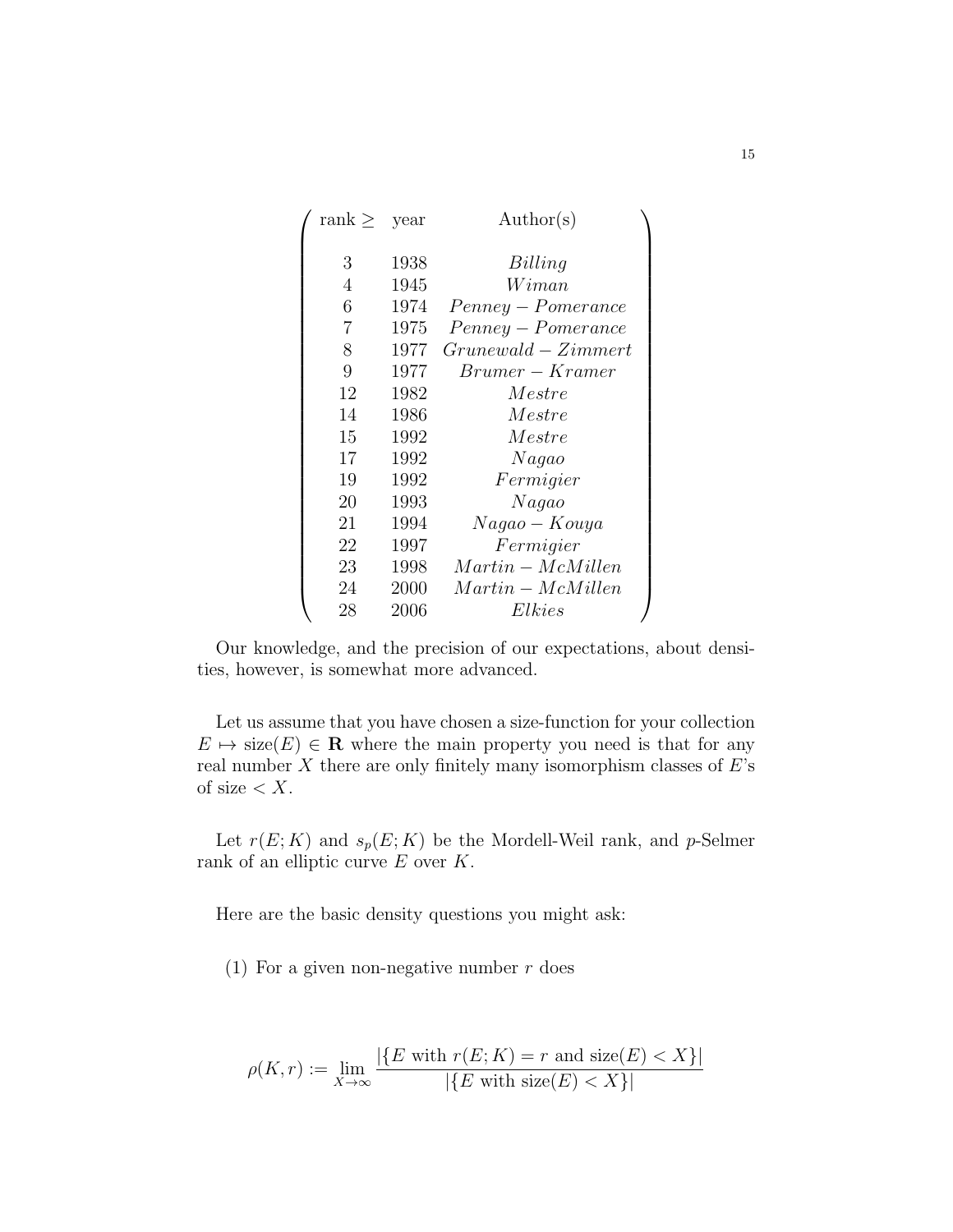| $rank \geq$ year |      | $\text{Author}(s)$  |
|------------------|------|---------------------|
|                  |      |                     |
| 3                | 1938 | Billing             |
| 4                | 1945 | Wiman               |
| 6                | 1974 | Penney – Pomerance  |
| 7                | 1975 | Penney – Pomerance  |
| 8                | 1977 | $Grunewald-Zimmert$ |
| 9                | 1977 | $Bramer-Kramer$     |
| 12               | 1982 | Mestre              |
| 14               | 1986 | Mestre              |
| 15               | 1992 | Mestre              |
| 17               | 1992 | Nagao               |
| 19               | 1992 | Fermigier           |
| 20               | 1993 | Nagao               |
| 21               | 1994 | $Nagao-Kouya$       |
| 22               | 1997 | Fermigier           |
| 23               | 1998 | $Martin - McMillen$ |
| 24               | 2000 | $Martin - McMillen$ |
| 28               | 2006 | Elkies              |

Our knowledge, and the precision of our expectations, about densities, however, is somewhat more advanced.

Let us assume that you have chosen a size-function for your collection  $E \mapsto \text{size}(E) \in \mathbf{R}$  where the main property you need is that for any real number  $X$  there are only finitely many isomorphism classes of  $E$ 's of size  $\lt X$ .

Let  $r(E; K)$  and  $s_p(E; K)$  be the Mordell-Weil rank, and p-Selmer rank of an elliptic curve  $E$  over  $K$ .

Here are the basic density questions you might ask:

(1) For a given non-negative number  $r$  does

$$
\rho(K,r) := \lim_{X \to \infty} \frac{|\{E \text{ with } r(E;K) = r \text{ and } \text{size}(E) < X\}|}{|\{E \text{ with } \text{size}(E) < X\}|}
$$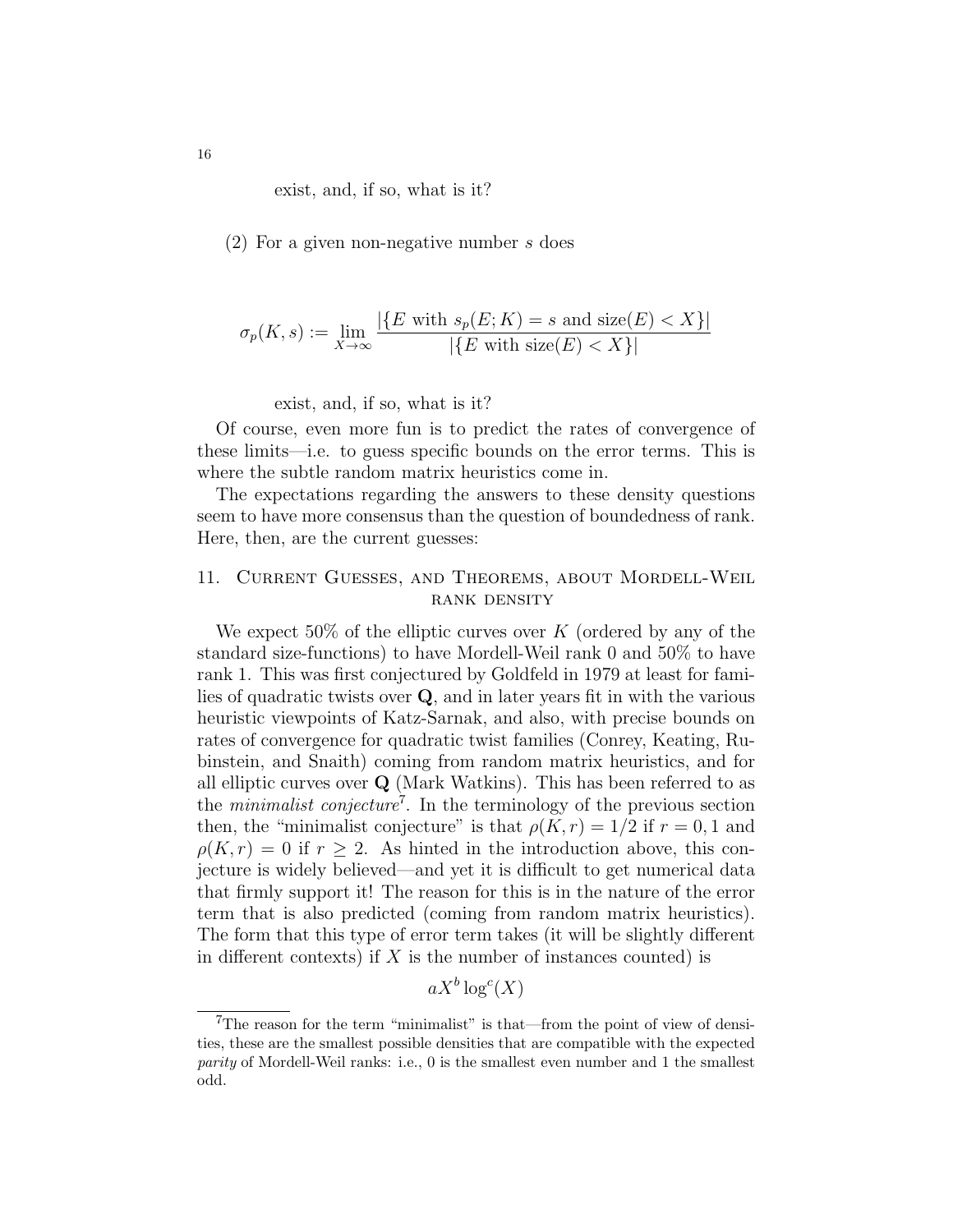exist, and, if so, what is it?

(2) For a given non-negative number s does

$$
\sigma_p(K, s) := \lim_{X \to \infty} \frac{|\{E \text{ with } s_p(E; K) = s \text{ and } \text{size}(E) < X\}|}{|\{E \text{ with } \text{size}(E) < X\}|}
$$

exist, and, if so, what is it?

Of course, even more fun is to predict the rates of convergence of these limits—i.e. to guess specific bounds on the error terms. This is where the subtle random matrix heuristics come in.

The expectations regarding the answers to these density questions seem to have more consensus than the question of boundedness of rank. Here, then, are the current guesses:

# 11. Current Guesses, and Theorems, about Mordell-Weil rank density

We expect  $50\%$  of the elliptic curves over K (ordered by any of the standard size-functions) to have Mordell-Weil rank 0 and 50% to have rank 1. This was first conjectured by Goldfeld in 1979 at least for families of quadratic twists over Q, and in later years fit in with the various heuristic viewpoints of Katz-Sarnak, and also, with precise bounds on rates of convergence for quadratic twist families (Conrey, Keating, Rubinstein, and Snaith) coming from random matrix heuristics, and for all elliptic curves over  $Q$  (Mark Watkins). This has been referred to as the *minimalist conjecture*<sup>7</sup>. In the terminology of the previous section then, the "minimalist conjecture" is that  $\rho(K,r) = 1/2$  if  $r = 0, 1$  and  $\rho(K, r) = 0$  if  $r > 2$ . As hinted in the introduction above, this conjecture is widely believed—and yet it is difficult to get numerical data that firmly support it! The reason for this is in the nature of the error term that is also predicted (coming from random matrix heuristics). The form that this type of error term takes (it will be slightly different in different contexts) if  $X$  is the number of instances counted) is

$$
aX^b \log^c(X)
$$

<sup>7</sup>The reason for the term "minimalist" is that—from the point of view of densities, these are the smallest possible densities that are compatible with the expected parity of Mordell-Weil ranks: i.e., 0 is the smallest even number and 1 the smallest odd.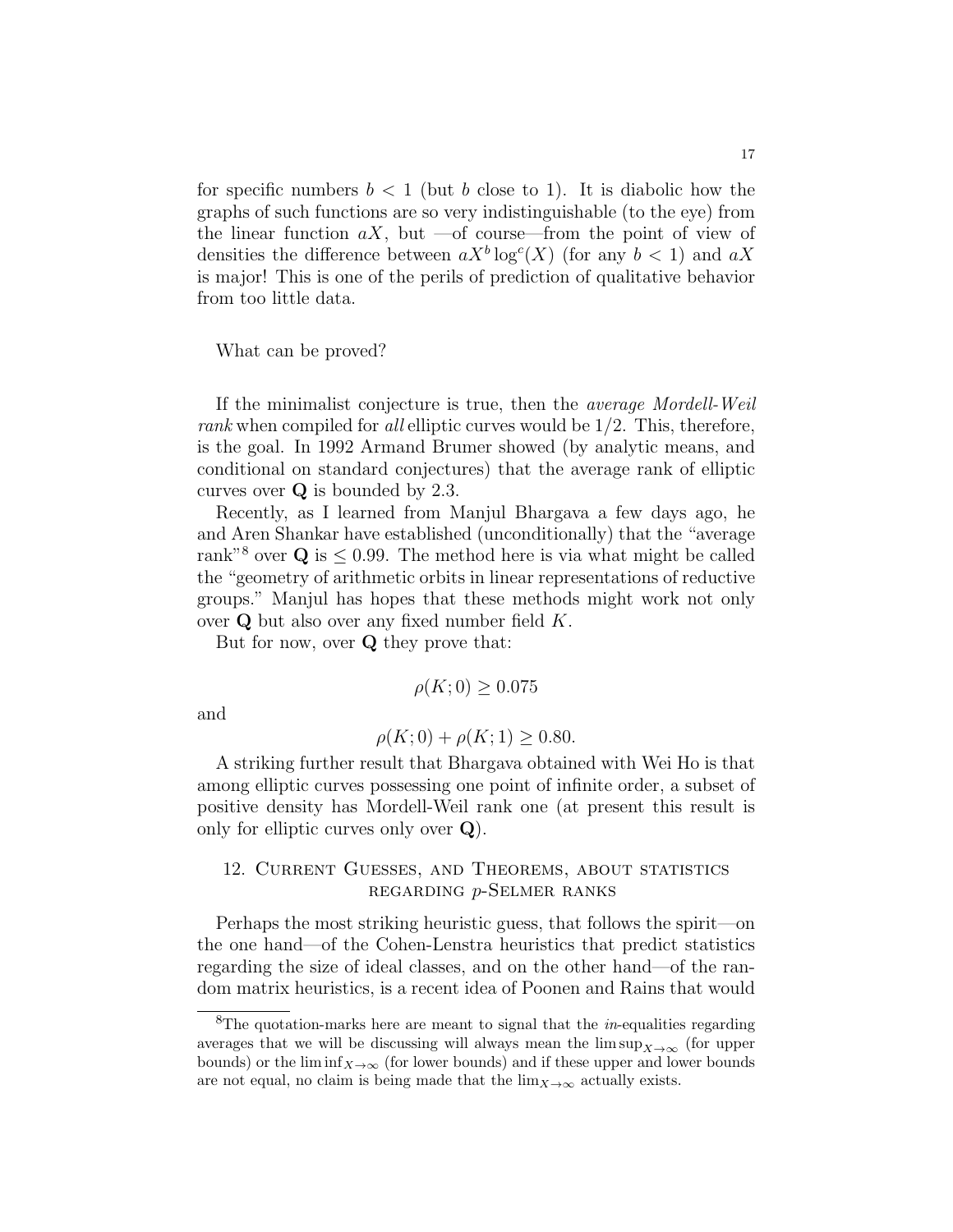for specific numbers  $b < 1$  (but b close to 1). It is diabolic how the graphs of such functions are so very indistinguishable (to the eye) from the linear function  $aX$ , but —of course—from the point of view of densities the difference between  $aX^b \log^c(X)$  (for any  $b < 1$ ) and  $aX$ is major! This is one of the perils of prediction of qualitative behavior from too little data.

What can be proved?

If the minimalist conjecture is true, then the average Mordell-Weil rank when compiled for all elliptic curves would be 1/2. This, therefore, is the goal. In 1992 Armand Brumer showed (by analytic means, and conditional on standard conjectures) that the average rank of elliptic curves over Q is bounded by 2.3.

Recently, as I learned from Manjul Bhargava a few days ago, he and Aren Shankar have established (unconditionally) that the "average rank<sup>"8</sup> over **Q** is  $\leq$  0.99. The method here is via what might be called the "geometry of arithmetic orbits in linear representations of reductive groups." Manjul has hopes that these methods might work not only over  $Q$  but also over any fixed number field  $K$ .

But for now, over Q they prove that:

$$
\rho(K;0) \ge 0.075
$$

and

$$
\rho(K; 0) + \rho(K; 1) \ge 0.80.
$$

A striking further result that Bhargava obtained with Wei Ho is that among elliptic curves possessing one point of infinite order, a subset of positive density has Mordell-Weil rank one (at present this result is only for elliptic curves only over  $Q$ ).

# 12. Current Guesses, and Theorems, about statistics regarding p-Selmer ranks

Perhaps the most striking heuristic guess, that follows the spirit—on the one hand—of the Cohen-Lenstra heuristics that predict statistics regarding the size of ideal classes, and on the other hand—of the random matrix heuristics, is a recent idea of Poonen and Rains that would

 ${}^{8}$ The quotation-marks here are meant to signal that the *in*-equalities regarding averages that we will be discussing will always mean the  $\limsup_{X\to\infty}$  (for upper bounds) or the lim inf $_{X\to\infty}$  (for lower bounds) and if these upper and lower bounds are not equal, no claim is being made that the  $\lim_{X\to\infty}$  actually exists.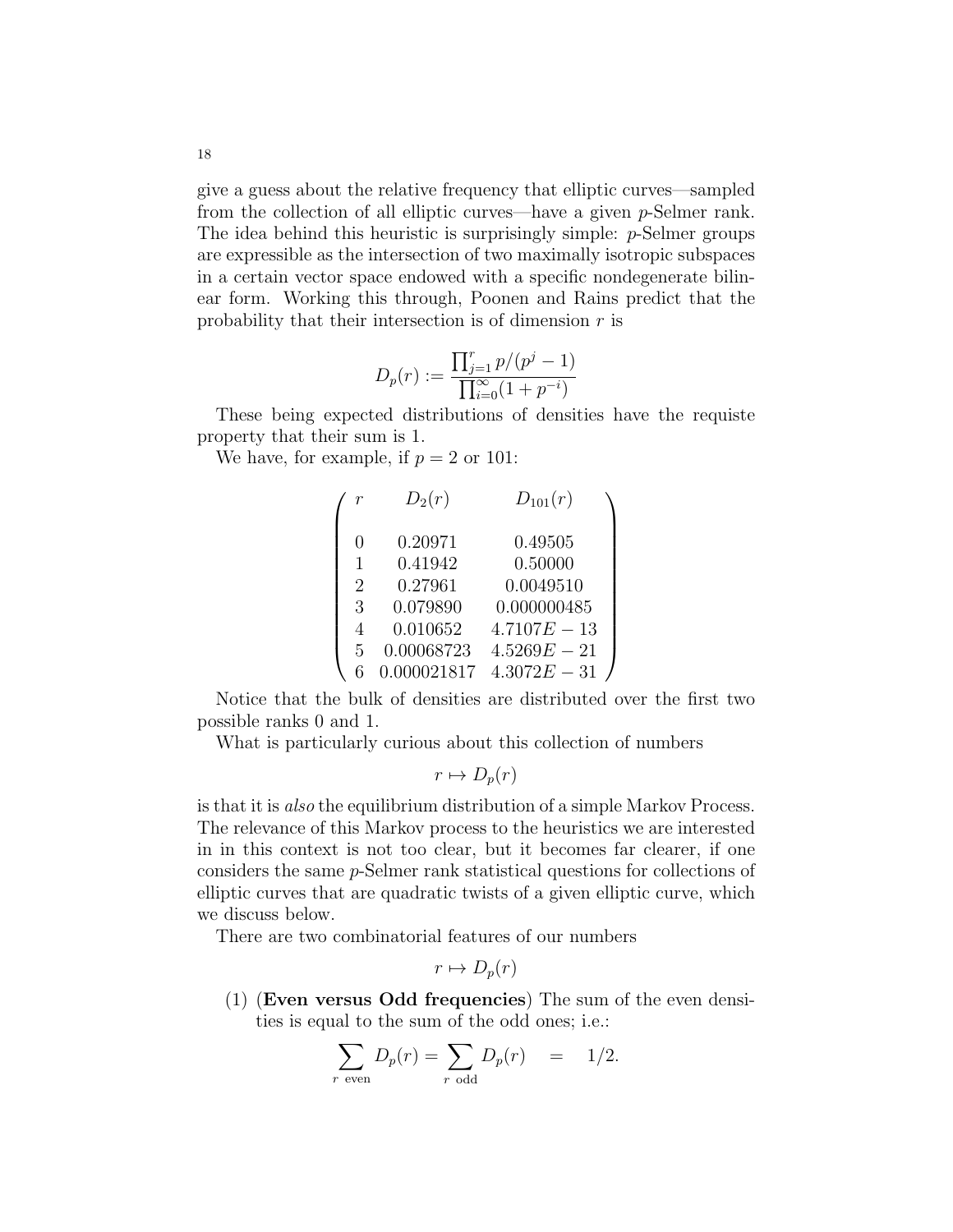give a guess about the relative frequency that elliptic curves—sampled from the collection of all elliptic curves—have a given p-Selmer rank. The idea behind this heuristic is surprisingly simple:  $p$ -Selmer groups are expressible as the intersection of two maximally isotropic subspaces in a certain vector space endowed with a specific nondegenerate bilinear form. Working this through, Poonen and Rains predict that the probability that their intersection is of dimension  $r$  is

$$
D_p(r) := \frac{\prod_{j=1}^r p/(p^j - 1)}{\prod_{i=0}^\infty (1 + p^{-i})}
$$

These being expected distributions of densities have the requiste property that their sum is 1.

We have, for example, if  $p = 2$  or 101:

| $\boldsymbol{r}$ | $D_2(r)$   | $D_{101}(r)$   |  |
|------------------|------------|----------------|--|
|                  |            |                |  |
| 0                | 0.20971    | 0.49505        |  |
| 1                | 0.41942    | 0.50000        |  |
| $\overline{2}$   | 0.27961    | 0.0049510      |  |
| 3                | 0.079890   | 0.000000485    |  |
| 4                | 0.010652   | $4.7107E - 13$ |  |
| 5                | 0.00068723 | $4.5269E - 21$ |  |
|                  | .000021817 | $4.3072E - 31$ |  |

Notice that the bulk of densities are distributed over the first two possible ranks 0 and 1.

What is particularly curious about this collection of numbers

$$
r \mapsto D_p(r)
$$

is that it is also the equilibrium distribution of a simple Markov Process. The relevance of this Markov process to the heuristics we are interested in in this context is not too clear, but it becomes far clearer, if one considers the same p-Selmer rank statistical questions for collections of elliptic curves that are quadratic twists of a given elliptic curve, which we discuss below.

There are two combinatorial features of our numbers

$$
r \mapsto D_p(r)
$$

(1) (Even versus Odd frequencies) The sum of the even densities is equal to the sum of the odd ones; i.e.:

$$
\sum_{r \text{ even}} D_p(r) = \sum_{r \text{ odd}} D_p(r) = 1/2.
$$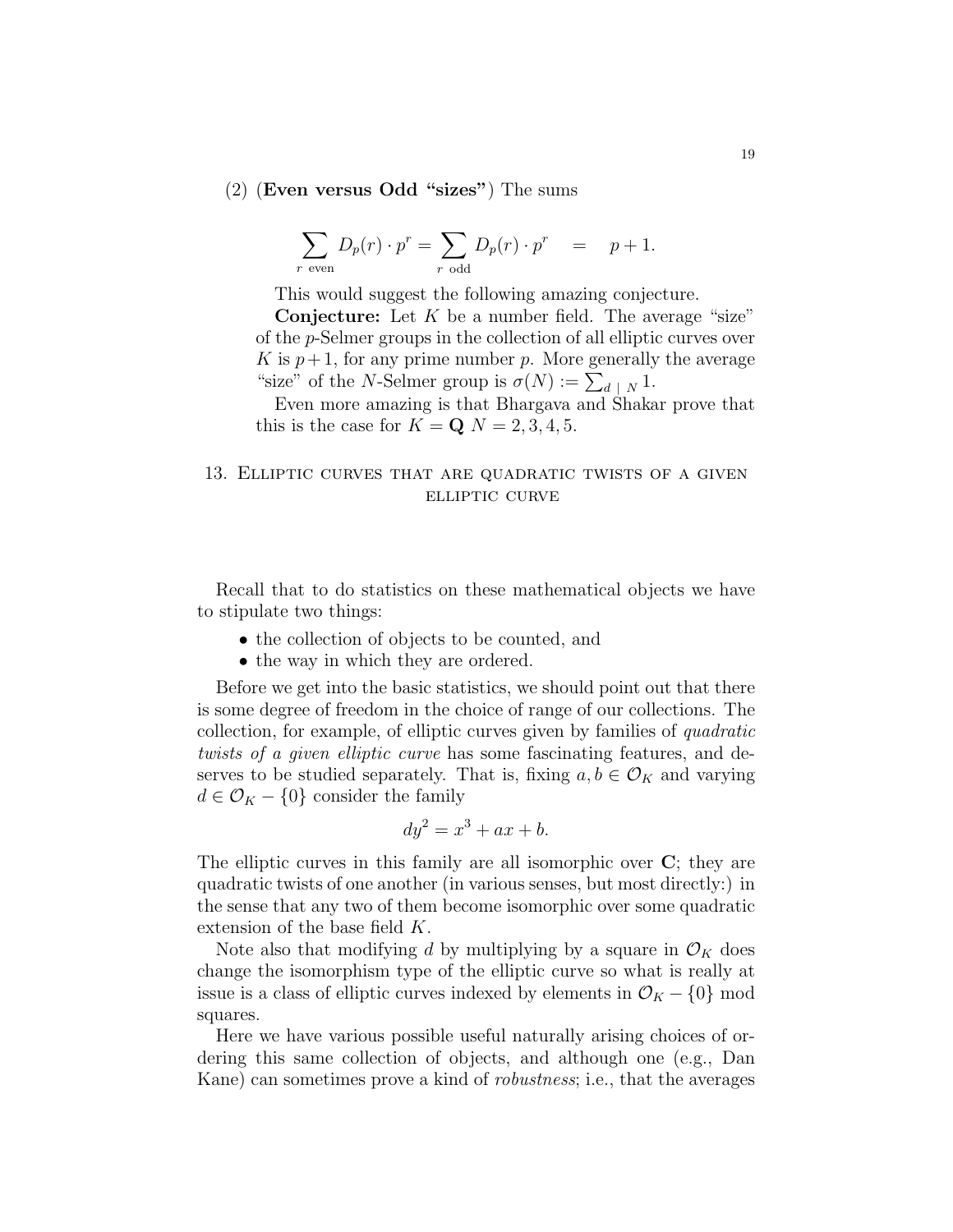### (2) (Even versus Odd "sizes") The sums

$$
\sum_{r \text{ even}} D_p(r) \cdot p^r = \sum_{r \text{ odd}} D_p(r) \cdot p^r = p + 1.
$$

This would suggest the following amazing conjecture.

**Conjecture:** Let  $K$  be a number field. The average "size" of the p-Selmer groups in the collection of all elliptic curves over K is  $p+1$ , for any prime number p. More generally the average "size" of the N-Selmer group is  $\sigma(N) := \sum_{d \mid N} 1$ .

Even more amazing is that Bhargava and Shakar prove that this is the case for  $K = \mathbf{Q} N = 2, 3, 4, 5$ .

# 13. Elliptic curves that are quadratic twists of a given elliptic curve

Recall that to do statistics on these mathematical objects we have to stipulate two things:

- the collection of objects to be counted, and
- the way in which they are ordered.

Before we get into the basic statistics, we should point out that there is some degree of freedom in the choice of range of our collections. The collection, for example, of elliptic curves given by families of quadratic twists of a given elliptic curve has some fascinating features, and deserves to be studied separately. That is, fixing  $a, b \in \mathcal{O}_K$  and varying  $d \in \mathcal{O}_K - \{0\}$  consider the family

$$
dy^2 = x^3 + ax + b.
$$

The elliptic curves in this family are all isomorphic over C; they are quadratic twists of one another (in various senses, but most directly:) in the sense that any two of them become isomorphic over some quadratic extension of the base field K.

Note also that modifying d by multiplying by a square in  $\mathcal{O}_K$  does change the isomorphism type of the elliptic curve so what is really at issue is a class of elliptic curves indexed by elements in  $\mathcal{O}_K - \{0\}$  mod squares.

Here we have various possible useful naturally arising choices of ordering this same collection of objects, and although one (e.g., Dan Kane) can sometimes prove a kind of robustness; i.e., that the averages